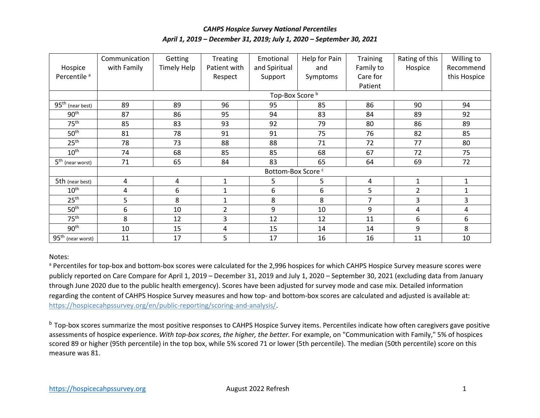## *CAHPS Hospice Survey National Percentiles April 1, 2019 – December 31, 2019; July 1, 2020 – September 30, 2021*

|                              | Communication                 | Getting            | <b>Treating</b> | Emotional     | Help for Pain | <b>Training</b> | Rating of this | Willing to   |
|------------------------------|-------------------------------|--------------------|-----------------|---------------|---------------|-----------------|----------------|--------------|
| Hospice                      | with Family                   | <b>Timely Help</b> | Patient with    | and Spiritual | and           | Family to       | Hospice        | Recommend    |
| Percentile <sup>a</sup>      |                               |                    | Respect         | Support       | Symptoms      | Care for        |                | this Hospice |
|                              |                               |                    |                 |               |               | Patient         |                |              |
|                              | Top-Box Score <sup>b</sup>    |                    |                 |               |               |                 |                |              |
| $95th$ (near best)           | 89                            | 89                 | 96              | 95            | 85            | 86              | 90             | 94           |
| 90 <sup>th</sup>             | 87                            | 86                 | 95              | 94            | 83            | 84              | 89             | 92           |
| 75 <sup>th</sup>             | 85                            | 83                 | 93              | 92            | 79            | 80              | 86             | 89           |
| 50 <sup>th</sup>             | 81                            | 78                 | 91              | 91            | 75            | 76              | 82             | 85           |
| 25 <sup>th</sup>             | 78                            | 73                 | 88              | 88            | 71            | 72              | 77             | 80           |
| 10 <sup>th</sup>             | 74                            | 68                 | 85              | 85            | 68            | 67              | 72             | 75           |
| $5^{\text{th}}$ (near worst) | 71                            | 65                 | 84              | 83            | 65            | 64              | 69             | 72           |
|                              | Bottom-Box Score <sup>c</sup> |                    |                 |               |               |                 |                |              |
| 5th (near best)              | 4                             | 4                  | $\mathbf{1}$    | 5             | 5             | 4               | $\mathbf{1}$   | 1            |
| 10 <sup>th</sup>             | 4                             | 6                  | $\mathbf{1}$    | 6             | 6             | 5               | $\overline{2}$ | 1            |
| 25 <sup>th</sup>             | 5                             | 8                  | $\mathbf{1}$    | 8             | 8             | 7               | 3              | 3            |
| 50 <sup>th</sup>             | 6                             | 10                 | $\overline{2}$  | 9             | 10            | 9               | 4              | 4            |
| 75 <sup>th</sup>             | 8                             | 12                 | 3               | 12            | 12            | 11              | 6              | 6            |
| 90 <sup>th</sup>             | 10                            | 15                 | 4               | 15            | 14            | 14              | 9              | 8            |
| $95th$ (near worst)          | 11                            | 17                 | 5               | 17            | 16            | 16              | 11             | 10           |

## Notes:

a Percentiles for top-box and bottom-box scores were calculated for the 2,996 hospices for which CAHPS Hospice Survey measure scores were publicly reported on Care Compare for April 1, 2019 – December 31, 2019 and July 1, 2020 – September 30, 2021 (excluding data from January through June 2020 due to the public health emergency). Scores have been adjusted for survey mode and case mix. Detailed information regarding the content of CAHPS Hospice Survey measures and how top- and bottom-box scores are calculated and adjusted is available at: [https://hospicecahpssurvey.org/en/public-reporting/scoring-and-analysis/.](https://hospicecahpssurvey.org/en/public-reporting/scoring-and-analysis/)

<sup>b</sup> Top-box scores summarize the most positive responses to CAHPS Hospice Survey items. Percentiles indicate how often caregivers gave positive assessments of hospice experience. *With top-box scores, the higher, the better.* For example, on "Communication with Family," 5% of hospices scored 89 or higher (95th percentile) in the top box, while 5% scored 71 or lower (5th percentile). The median (50th percentile) score on this measure was 81.